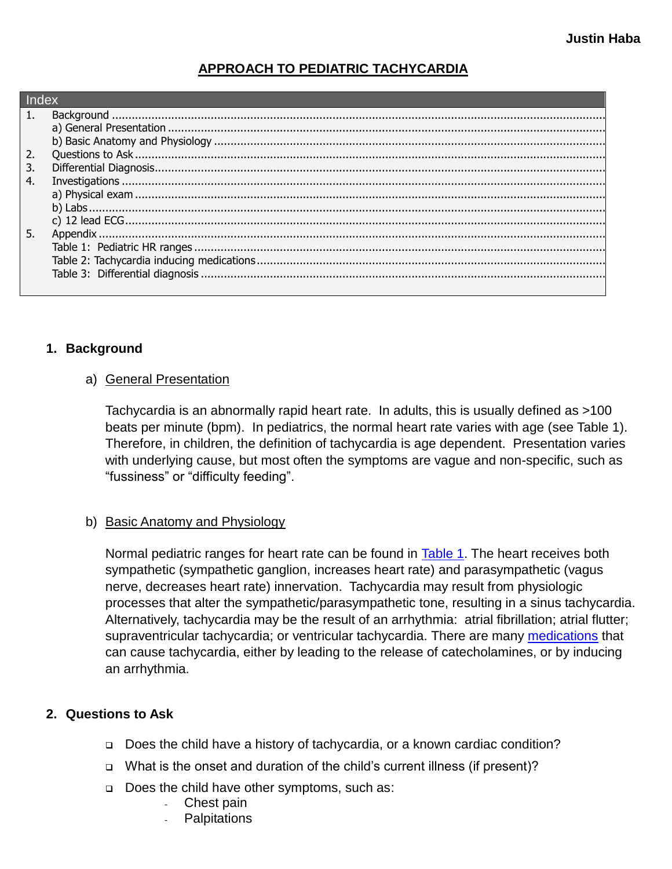# **APPROACH TO PEDIATRIC TACHYCARDIA**

| 3. |  |  |  |  |  |  |
|----|--|--|--|--|--|--|
| 4. |  |  |  |  |  |  |
|    |  |  |  |  |  |  |
|    |  |  |  |  |  |  |
|    |  |  |  |  |  |  |
| 5. |  |  |  |  |  |  |
|    |  |  |  |  |  |  |
|    |  |  |  |  |  |  |
|    |  |  |  |  |  |  |
|    |  |  |  |  |  |  |

## <span id="page-0-1"></span><span id="page-0-0"></span>**1. Background**

### a) General Presentation

Tachycardia is an abnormally rapid heart rate. In adults, this is usually defined as >100 beats per minute (bpm). In pediatrics, the normal heart rate varies with age (see Table 1). Therefore, in children, the definition of tachycardia is age dependent. Presentation varies with underlying cause, but most often the symptoms are vague and non-specific, such as "fussiness" or "difficulty feeding".

## <span id="page-0-2"></span>b) Basic Anatomy and Physiology

Normal pediatric ranges for heart rate can be found in Table 1. The heart receives both sympathetic (sympathetic ganglion, increases heart rate) and parasympathetic (vagus nerve, decreases heart rate) innervation. Tachycardia may result from physiologic processes that alter the sympathetic/parasympathetic tone, resulting in a sinus tachycardia. Alternatively, tachycardia may be the result of an arrhythmia: atrial fibrillation; atrial flutter; supraventricular tachycardia; or ventricular tachycardia. There are many medications that can cause tachycardia, either by leading to the release of catecholamines, or by inducing an arrhythmia.

### <span id="page-0-3"></span>**2. Questions to Ask**

- Does the child have a history of tachycardia, or a known cardiac condition?
- What is the onset and duration of the child's current illness (if present)?
- Does the child have other symptoms, such as:
	- Chest pain
	- **Palpitations**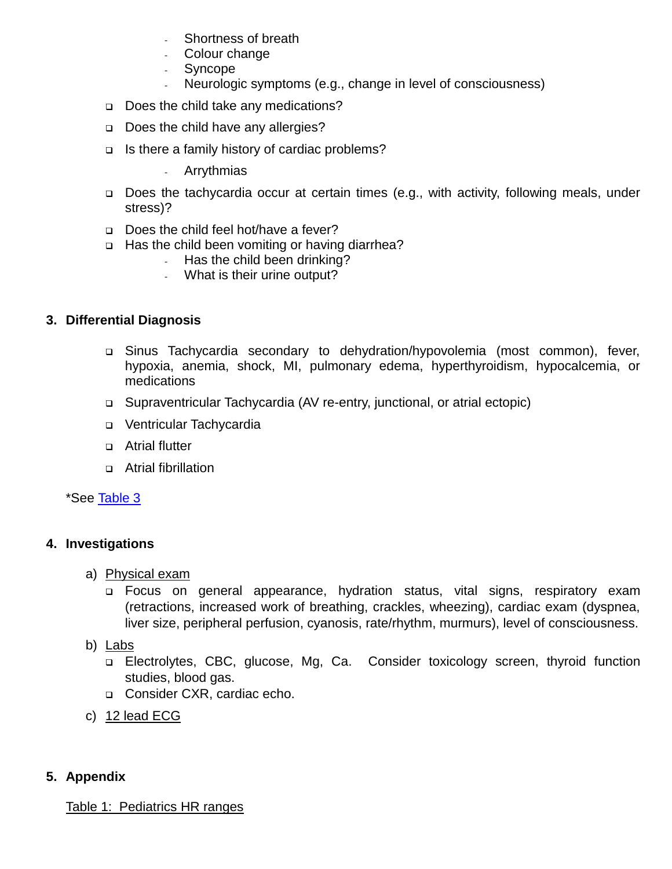- Shortness of breath
- Colour change
- **Syncope**
- Neurologic symptoms (e.g., change in level of consciousness)
- Does the child take any medications?
- Does the child have any allergies?
- □ Is there a family history of cardiac problems?
	- Arrythmias
- □ Does the tachycardia occur at certain times (e.g., with activity, following meals, under stress)?
- Does the child feel hot/have a fever?
- □ Has the child been vomiting or having diarrhea?
	- Has the child been drinking?
	- What is their urine output?

### <span id="page-1-0"></span>**3. Differential Diagnosis**

- Sinus Tachycardia secondary to dehydration/hypovolemia (most common), fever, hypoxia, anemia, shock, MI, pulmonary edema, hyperthyroidism, hypocalcemia, or medications
- Supraventricular Tachycardia (AV re-entry, junctional, or atrial ectopic)
- u Ventricular Tachycardia
- **D** Atrial flutter
- Atrial fibrillation

\*See Table 3

### <span id="page-1-2"></span><span id="page-1-1"></span>**4. Investigations**

- a) Physical exam
	- Focus on general appearance, hydration status, vital signs, respiratory exam (retractions, increased work of breathing, crackles, wheezing), cardiac exam (dyspnea, liver size, peripheral perfusion, cyanosis, rate/rhythm, murmurs), level of consciousness.
- <span id="page-1-3"></span>b) Labs
	- Electrolytes, CBC, glucose, Mg, Ca. Consider toxicology screen, thyroid function studies, blood gas.
	- □ Consider CXR, cardiac echo.
- <span id="page-1-4"></span>c) 12 lead ECG

### <span id="page-1-6"></span><span id="page-1-5"></span>**5. Appendix**

#### Table 1: Pediatrics HR ranges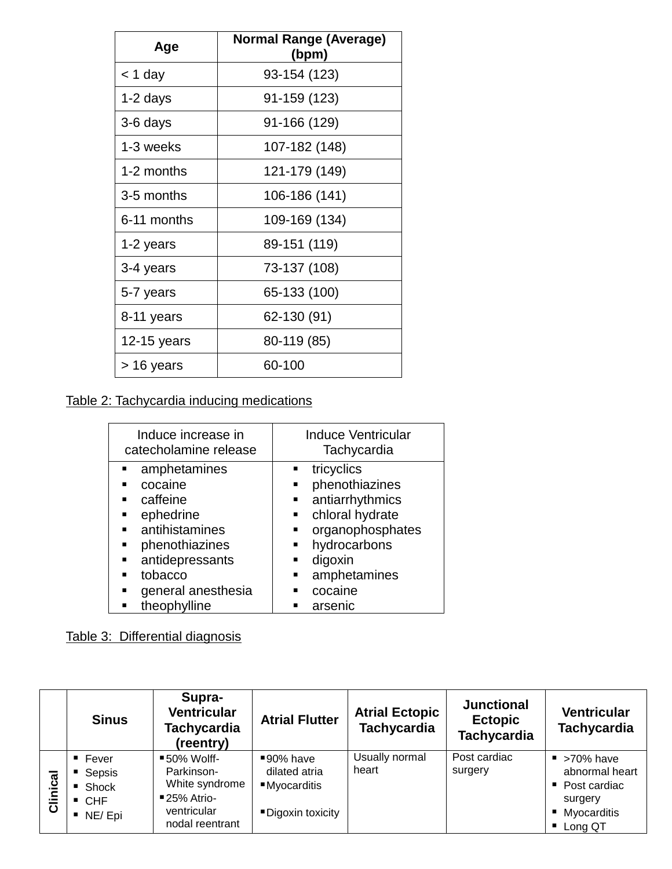| Age         | <b>Normal Range (Average)</b><br>(bpm) |
|-------------|----------------------------------------|
| < 1 day     | 93-154 (123)                           |
| 1-2 days    | 91-159 (123)                           |
| 3-6 days    | 91-166 (129)                           |
| 1-3 weeks   | 107-182 (148)                          |
| 1-2 months  | 121-179 (149)                          |
| 3-5 months  | 106-186 (141)                          |
| 6-11 months | 109-169 (134)                          |
| 1-2 years   | 89-151 (119)                           |
| 3-4 years   | 73-137 (108)                           |
| 5-7 years   | 65-133 (100)                           |
| 8-11 years  | 62-130 (91)                            |
| 12-15 years | 80-119 (85)                            |
| > 16 years  | 60-100                                 |

<span id="page-2-0"></span>Table 2: Tachycardia inducing medications

| Induce increase in<br>catecholamine release                                                                             | <b>Induce Ventricular</b><br>Tachycardia                                                                                                    |  |  |  |
|-------------------------------------------------------------------------------------------------------------------------|---------------------------------------------------------------------------------------------------------------------------------------------|--|--|--|
| amphetamines<br>cocaine<br>caffeine<br>ephedrine<br>٠<br>antihistamines<br>phenothiazines<br>antidepressants<br>tobacco | tricyclics<br>phenothiazines<br>antiarrhythmics<br>٠<br>chloral hydrate<br>٠<br>organophosphates<br>hydrocarbons<br>digoxin<br>amphetamines |  |  |  |
| general anesthesia<br>theophylline                                                                                      | cocaine<br>arsenic                                                                                                                          |  |  |  |

<span id="page-2-1"></span>Table 3: Differential diagnosis

|          | <b>Sinus</b>                                                                     | Supra-<br><b>Ventricular</b><br>Tachycardia<br>(reentry)                                     | <b>Atrial Flutter</b>                                           | <b>Atrial Ectopic</b><br><b>Tachycardia</b> | <b>Junctional</b><br><b>Ectopic</b><br><b>Tachycardia</b> | <b>Ventricular</b><br><b>Tachycardia</b>                                                                             |
|----------|----------------------------------------------------------------------------------|----------------------------------------------------------------------------------------------|-----------------------------------------------------------------|---------------------------------------------|-----------------------------------------------------------|----------------------------------------------------------------------------------------------------------------------|
| Clinical | $\blacksquare$ Fever<br>■ Sepsis<br>■ Shock<br>$\blacksquare$ CHF<br>NE/Epi<br>п | ■50% Wolff-<br>Parkinson-<br>White syndrome<br>■25% Atrio-<br>ventricular<br>nodal reentrant | ■90% have<br>dilated atria<br>■Myocarditis<br>■Digoxin toxicity | Usually normal<br>heart                     | Post cardiac<br>surgery                                   | $\blacktriangleright$ >70% have<br>abnormal heart<br>Post cardiac<br>п.<br>surgery<br>Myocarditis<br>п.<br>■ Long QT |